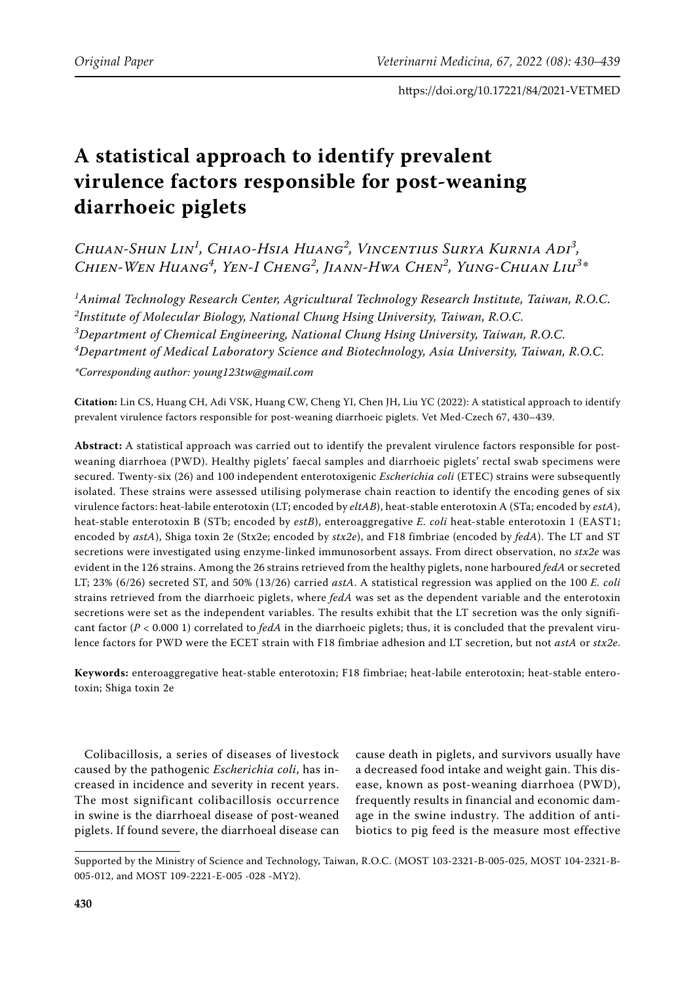# **A statistical approach to identify prevalent virulence factors responsible for post-weaning diarrhoeic piglets**

*Chuan-Shun Lin<sup>1</sup> , Chiao-Hsia Huang<sup>2</sup> , Vincentius Surya Kurnia Adi<sup>3</sup> , Chien-Wen Huang<sup>4</sup> , Yen-I Cheng<sup>2</sup> , Jiann-Hwa Chen<sup>2</sup> , Yung-Chuan Liu<sup>3</sup> \**

 *Animal Technology Research Center, Agricultural Technology Research Institute, Taiwan, R.O.C. Institute of Molecular Biology, National Chung Hsing University, Taiwan, R.O.C. Department of Chemical Engineering, National Chung Hsing University, Taiwan, R.O.C. Department of Medical Laboratory Science and Biotechnology, Asia University, Taiwan, R.O.C.*

*\*Corresponding author: young123tw@gmail.com*

**Citation:** Lin CS, Huang CH, Adi VSK, Huang CW, Cheng YI, Chen JH, Liu YC (2022): A statistical approach to identify prevalent virulence factors responsible for post-weaning diarrhoeic piglets. Vet Med-Czech 67, 430–439.

**Abstract:** A statistical approach was carried out to identify the prevalent virulence factors responsible for postweaning diarrhoea (PWD). Healthy piglets' faecal samples and diarrhoeic piglets' rectal swab specimens were secured. Twenty-six (26) and 100 independent enterotoxigenic *Escherichia coli* (ETEC) strains were subsequently isolated. These strains were assessed utilising polymerase chain reaction to identify the encoding genes of six virulence factors: heat-labile enterotoxin (LT; encoded by *eltAB*), heat-stable enterotoxin A (STa; encoded by *estA*), heat-stable enterotoxin B (STb; encoded by *estB*), enteroaggregative *E. coli* heat-stable enterotoxin 1 (EAST1; encoded by *astA*), Shiga toxin 2e (Stx2e; encoded by *stx2e*), and F18 fimbriae (encoded by *fedA*). The LT and ST secretions were investigated using enzyme-linked immunosorbent assays. From direct observation, no *stx2e* was evident in the 126 strains. Among the 26 strains retrieved from the healthy piglets, none harboured *fedA* or secreted LT; 23% (6/26) secreted ST, and 50% (13/26) carried *astA*. A statistical regression was applied on the 100 *E. coli* strains retrieved from the diarrhoeic piglets, where *fedA* was set as the dependent variable and the enterotoxin secretions were set as the independent variables. The results exhibit that the LT secretion was the only significant factor ( $P < 0.0001$ ) correlated to *fedA* in the diarrhoeic piglets; thus, it is concluded that the prevalent virulence factors for PWD were the ECET strain with F18 fimbriae adhesion and LT secretion, but not *astA* or *stx2e*.

**Keywords:** enteroaggregative heat-stable enterotoxin; F18 fimbriae; heat-labile enterotoxin; heat-stable enterotoxin; Shiga toxin 2e

Colibacillosis, a series of diseases of livestock caused by the pathogenic *Escherichia coli*, has increased in incidence and severity in recent years. The most significant colibacillosis occurrence in swine is the diarrhoeal disease of post-weaned piglets. If found severe, the diarrhoeal disease can

cause death in piglets, and survivors usually have a decreased food intake and weight gain. This disease, known as post-weaning diarrhoea (PWD), frequently results in financial and economic damage in the swine industry. The addition of antibiotics to pig feed is the measure most effective

Supported by the Ministry of Science and Technology, Taiwan, R.O.C. (MOST 103-2321-B-005-025, MOST 104-2321-B-005-012, and MOST 109-2221-E-005 -028 -MY2).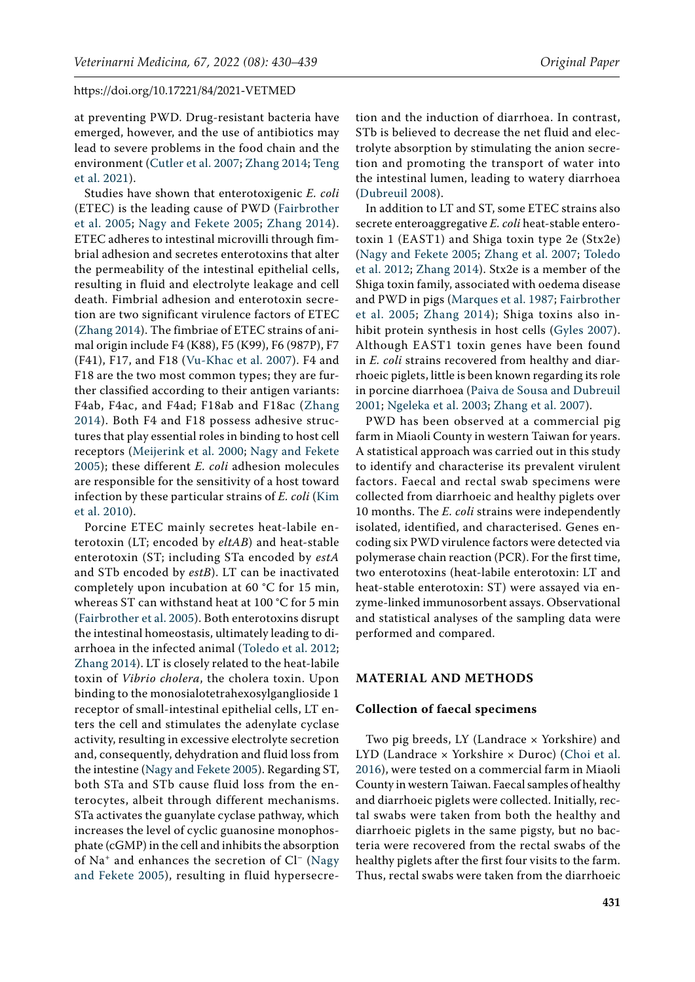at preventing PWD. Drug-resistant bacteria have emerged, however, and the use of antibiotics may lead to severe problems in the food chain and the environment [\(Cutler et al. 2007](#page-8-0); [Zhang 2014;](#page-9-0) [Teng](#page-8-1)  [et al. 2021\)](#page-8-1).

Studies have shown that enterotoxigenic *E. coli* (ETEC) is the leading cause of PWD [\(Fairbrother](#page-8-2)  [et al. 2005;](#page-8-2) [Nagy and Fekete 2005;](#page-8-3) [Zhang 2014](#page-9-0)). ETEC adheres to intestinal microvilli through fimbrial adhesion and secretes enterotoxins that alter the permeability of the intestinal epithelial cells, resulting in fluid and electrolyte leakage and cell death. Fimbrial adhesion and enterotoxin secretion are two significant virulence factors of ETEC [\(Zhang 2014](#page-9-0)). The fimbriae of ETEC strains of animal origin include F4 (K88), F5 (K99), F6 (987P), F7 (F41), F17, and F18 ([Vu-Khac et al. 2007](#page-9-1)). F4 and F18 are the two most common types; they are further classified according to their antigen variants: F4ab, F4ac, and F4ad; F18ab and F18ac ([Zhang](#page-9-0)  [2014](#page-9-0)). Both F4 and F18 possess adhesive structures that play essential roles in binding to host cell receptors ([Meijerink et al. 2000;](#page-8-4) [Nagy and Fekete](#page-8-3)  [2005](#page-8-3)); these different *E. coli* adhesion molecules are responsible for the sensitivity of a host toward infection by these particular strains of *E. coli* [\(Kim](#page-8-5)  [et al. 2010\)](#page-8-5).

Porcine ETEC mainly secretes heat-labile enterotoxin (LT; encoded by *eltAB*) and heat-stable enterotoxin (ST; including STa encoded by *estA* and STb encoded by *estB*). LT can be inactivated completely upon incubation at 60 °C for 15 min, whereas ST can withstand heat at 100 °C for 5 min [\(Fairbrother et al. 2005](#page-8-2)). Both enterotoxins disrupt the intestinal homeostasis, ultimately leading to diarrhoea in the infected animal ([Toledo et al. 2012](#page-8-6); [Zhang 2014\)](#page-9-0). LT is closely related to the heat-labile toxin of *Vibrio cholera*, the cholera toxin. Upon binding to the monosialotetrahexosylganglioside 1 receptor of small-intestinal epithelial cells, LT enters the cell and stimulates the adenylate cyclase activity, resulting in excessive electrolyte secretion and, consequently, dehydration and fluid loss from the intestine ([Nagy and Fekete 2005\)](#page-8-3). Regarding ST, both STa and STb cause fluid loss from the enterocytes, albeit through different mechanisms. STa activates the guanylate cyclase pathway, which increases the level of cyclic guanosine monophosphate (cGMP) in the cell and inhibits the absorption of  $Na<sup>+</sup>$  and enhances the secretion of  $Cl<sup>-</sup>$  (Nagy [and Fekete 2005](#page-8-3)), resulting in fluid hypersecre-

tion and the induction of diarrhoea. In contrast, STb is believed to decrease the net fluid and electrolyte absorption by stimulating the anion secretion and promoting the transport of water into the intestinal lumen, leading to watery diarrhoea [\(Dubreuil 2008](#page-8-7)).

In addition to LT and ST, some ETEC strains also secrete enteroaggregative *E. coli* heat-stable enterotoxin 1 (EAST1) and Shiga toxin type 2e (Stx2e) [\(Nagy and Fekete 2005](#page-8-3); [Zhang et al. 2007;](#page-9-2) [Toledo](#page-8-6) [et al. 2012](#page-8-6); [Zhang 2014](#page-9-0)). Stx2e is a member of the Shiga toxin family, associated with oedema disease and PWD in pigs ([Marques et al. 1987;](#page-8-8) [Fairbrother](#page-8-2) [et al. 2005](#page-8-2); [Zhang 2014\)](#page-9-0); Shiga toxins also inhibit protein synthesis in host cells ([Gyles 2007](#page-8-9)). Although EAST1 toxin genes have been found in *E. coli* strains recovered from healthy and diarrhoeic piglets, little is been known regarding its role in porcine diarrhoea [\(Paiva de Sousa and Dubreuil](#page-8-10) [2001;](#page-8-10) [Ngeleka et al. 2003;](#page-8-11) [Zhang et al. 2007](#page-9-2)).

PWD has been observed at a commercial pig farm in Miaoli County in western Taiwan for years. A statistical approach was carried out in this study to identify and characterise its prevalent virulent factors. Faecal and rectal swab specimens were collected from diarrhoeic and healthy piglets over 10 months. The *E. coli* strains were independently isolated, identified, and characterised. Genes encoding six PWD virulence factors were detected via polymerase chain reaction (PCR). For the first time, two enterotoxins (heat-labile enterotoxin: LT and heat-stable enterotoxin: ST) were assayed via enzyme-linked immunosorbent assays. Observational and statistical analyses of the sampling data were performed and compared.

## **MATERIAL AND METHODS**

#### **Collection of faecal specimens**

Two pig breeds, LY (Landrace  $\times$  Yorkshire) and LYD (Landrace × Yorkshire × Duroc) ([Choi et al.](#page-8-12) [2016\)](#page-8-12), were tested on a commercial farm in Miaoli County in western Taiwan. Faecal samples of healthy and diarrhoeic piglets were collected. Initially, rectal swabs were taken from both the healthy and diarrhoeic piglets in the same pigsty, but no bacteria were recovered from the rectal swabs of the healthy piglets after the first four visits to the farm. Thus, rectal swabs were taken from the diarrhoeic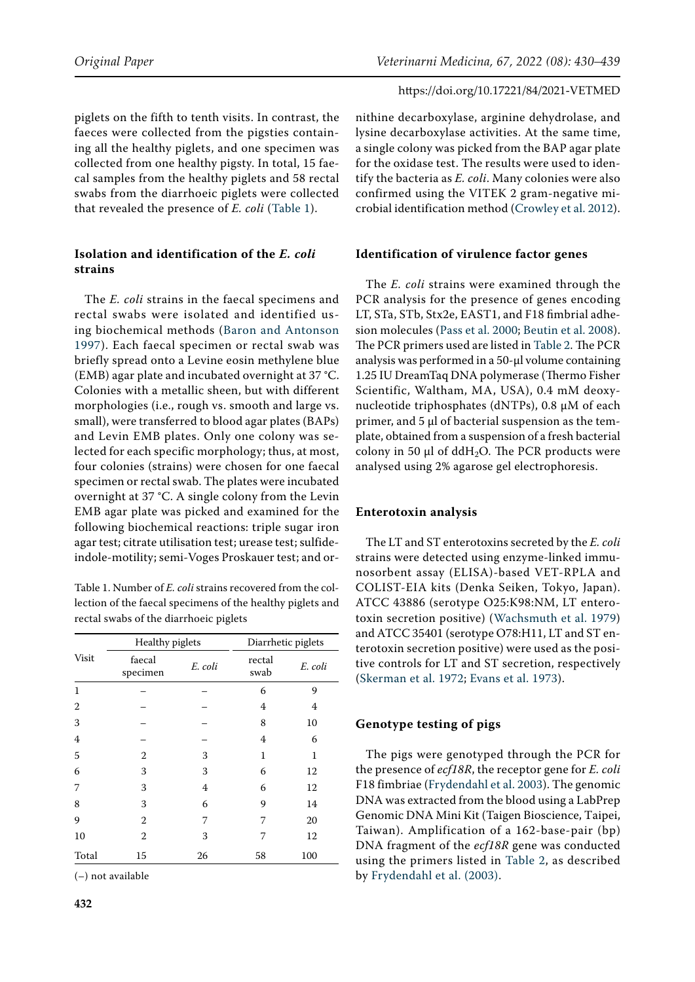piglets on the fifth to tenth visits. In contrast, the faeces were collected from the pigsties containing all the healthy piglets, and one specimen was collected from one healthy pigsty. In total, 15 faecal samples from the healthy piglets and 58 rectal swabs from the diarrhoeic piglets were collected that revealed the presence of *E. coli* ([Table 1\)](#page-2-0).

# **Isolation and identification of the** *E. coli* **strains**

The *E. coli* strains in the faecal specimens and rectal swabs were isolated and identified using biochemical methods ([Baron and Antonson](#page-7-0)  [1997](#page-7-0)). Each faecal specimen or rectal swab was briefly spread onto a Levine eosin methylene blue (EMB) agar plate and incubated overnight at 37 °C. Colonies with a metallic sheen, but with different morphologies (i.e., rough vs. smooth and large vs. small), were transferred to blood agar plates (BAPs) and Levin EMB plates. Only one colony was selected for each specific morphology; thus, at most, four colonies (strains) were chosen for one faecal specimen or rectal swab. The plates were incubated overnight at 37 °C. A single colony from the Levin EMB agar plate was picked and examined for the following biochemical reactions: triple sugar iron agar test; citrate utilisation test; urease test; sulfideindole-motility; semi-Voges Proskauer test; and or-

<span id="page-2-0"></span>Table 1. Number of *E. coli* strains recovered from the collection of the faecal specimens of the healthy piglets and rectal swabs of the diarrhoeic piglets

|              |                    | Healthy piglets |                | Diarrhetic piglets |  |  |
|--------------|--------------------|-----------------|----------------|--------------------|--|--|
| <b>Visit</b> | faecal<br>specimen | E. coli         | rectal<br>swab | E. coli            |  |  |
| 1            |                    |                 | 6              | 9                  |  |  |
| 2            |                    |                 | 4              | 4                  |  |  |
| 3            |                    |                 | 8              | 10                 |  |  |
| 4            |                    |                 | 4              | 6                  |  |  |
| 5            | 2                  | 3               | 1              | 1                  |  |  |
| 6            | 3                  | 3               | 6              | 12                 |  |  |
| 7            | 3                  | 4               | 6              | 12                 |  |  |
| 8            | 3                  | 6               | 9              | 14                 |  |  |
| 9            | 2                  | 7               | 7              | 20                 |  |  |
| 10           | 2                  | 3               | 7              | 12                 |  |  |
| Total        | 15                 | 26              | 58             | 100                |  |  |

(–) not available

nithine decarboxylase, arginine dehydrolase, and lysine decarboxylase activities. At the same time, a single colony was picked from the BAP agar plate for the oxidase test. The results were used to identify the bacteria as *E. coli*. Many colonies were also confirmed using the VITEK 2 gram-negative microbial identification method [\(Crowley et al. 2012\)](#page-8-13).

# **Identification of virulence factor genes**

The *E. coli* strains were examined through the PCR analysis for the presence of genes encoding LT, STa, STb, Stx2e, EAST1, and F18 fimbrial adhesion molecules ([Pass et al. 2000;](#page-8-14) [Beutin et al. 2008\)](#page-7-1). The PCR primers used are listed in [Table 2](#page-3-0). The PCR analysis was performed in a 50-µl volume containing 1.25 IU DreamTaq DNA polymerase (Thermo Fisher Scientific, Waltham, MA, USA), 0.4 mM deoxynucleotide triphosphates (dNTPs), 0.8 μM of each primer, and  $5 \mu$ l of bacterial suspension as the template, obtained from a suspension of a fresh bacterial colony in 50  $\mu$ l of ddH<sub>2</sub>O. The PCR products were analysed using 2% agarose gel electrophoresis.

# **Enterotoxin analysis**

The LT and ST enterotoxins secreted by the *E. coli* strains were detected using enzyme-linked immunosorbent assay (ELISA)-based VET-RPLA and COLIST-EIA kits (Denka Seiken, Tokyo, Japan). ATCC 43886 (serotype O25:K98:NM, LT enterotoxin secretion positive) ([Wachsmuth et al. 1979](#page-9-3)) and ATCC 35401 (serotype O78:H11, LT and ST enterotoxin secretion positive) were used as the positive controls for LT and ST secretion, respectively [\(Skerman et al. 1972](#page-8-15); [Evans et al. 1973\)](#page-8-16).

# **Genotype testing of pigs**

The pigs were genotyped through the PCR for the presence of *ecf18R*, the receptor gene for *E. coli* F18 fimbriae ([Frydendahl et al. 2003](#page-8-17)). The genomic DNA was extracted from the blood using a LabPrep Genomic DNA Mini Kit (Taigen Bioscience, Taipei, Taiwan). Amplification of a 162-base-pair (bp) DNA fragment of the *ecf18R* gene was conducted using the primers listed in [Table 2](#page-3-0), as described by [Frydendahl et al. \(2003\)](#page-8-17).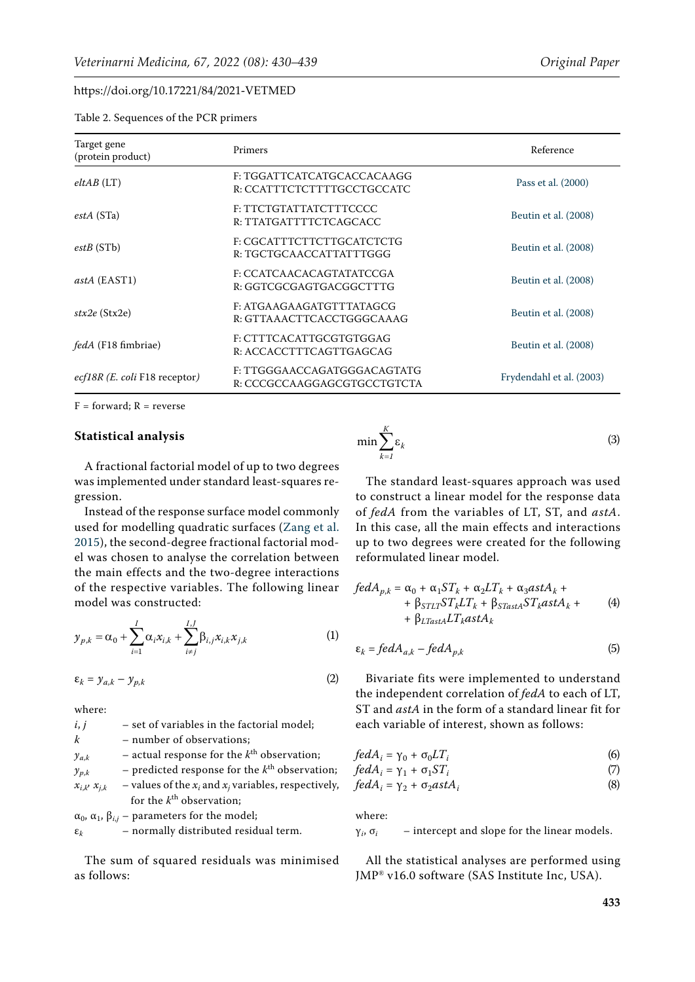<span id="page-3-0"></span>

| Table 2. Sequences of the PCR primers |  |  |  |
|---------------------------------------|--|--|--|
|---------------------------------------|--|--|--|

| Target gene<br><b>Primers</b><br>(protein product) |                                                            | Reference                |
|----------------------------------------------------|------------------------------------------------------------|--------------------------|
| eltAB(LT)                                          | F: TGGATTCATCATGCACCACAAGG<br>R: CCATTTCTCTTTTGCCTGCCATC   | Pass et al. (2000)       |
| estA(STa)                                          | F: TTCTGTATTATCTTTCCCC<br>R: TTATGATTTTCTCAGCACC           | Beutin et al. (2008)     |
| estB(STb)                                          | F: CGCATTTCTTCTTGCATCTCTG<br>R: TGCTGCAACCATTATTTGGG       | Beutin et al. (2008)     |
| <i>astA</i> (EAST1)                                | F: CCATCAACACAGTATATCCGA<br>R: GGTCGCGAGTGACGGCTTTG        | Beutin et al. (2008)     |
| $\textit{stx2e}$ (Stx2e)                           | F: ATGAAGAAGATGTTTATAGCG<br>R: GTTAAACTTCACCTGGGCAAAG      | Beutin et al. (2008)     |
| <i>fedA</i> (F18 fimbriae)                         | F: CTTTCACATTGCGTGTGGAG<br>R: ACCACCTTTCAGTTGAGCAG         | Beutin et al. (2008)     |
| <i>ecf18R (E. coli</i> F18 receptor)               | F: TTGGGAACCAGATGGGACAGTATG<br>R: CCCGCCAAGGAGCGTGCCTGTCTA | Frydendahl et al. (2003) |

 $F =$  forward;  $R =$  reverse

#### **Statistical analysis**

A fractional factorial model of up to two degrees was implemented under standard least-squares regression.

Instead of the response surface model commonly used for modelling quadratic surfaces ([Zang et al.](#page-9-4)  [2015\)](#page-9-4), the second-degree fractional factorial model was chosen to analyse the correlation between the main effects and the two-degree interactions of the respective variables. The following linear model was constructed:

$$
y_{p,k} = \alpha_0 + \sum_{i=1}^{I} \alpha_i x_{i,k} + \sum_{i \neq j}^{I,J} \beta_{i,j} x_{i,k} x_{j,k}
$$
 (1)

$$
\varepsilon_k = y_{a,k} - y_{p,k} \tag{2}
$$

where:

| i, j                | - set of variables in the factorial model;                                                                                                                                                                                                                                                                                         |
|---------------------|------------------------------------------------------------------------------------------------------------------------------------------------------------------------------------------------------------------------------------------------------------------------------------------------------------------------------------|
| k                   | - number of observations;                                                                                                                                                                                                                                                                                                          |
| $y_{a,k}$           | - actual response for the $k^{\text{th}}$ observation;                                                                                                                                                                                                                                                                             |
| $y_{p,k}$           | - predicted response for the $k^{\text{th}}$ observation;                                                                                                                                                                                                                                                                          |
| $x_{i,k}$ $x_{j,k}$ | – values of the $x_i$ and $x_j$ variables, respectively,                                                                                                                                                                                                                                                                           |
|                     | for the $k^{\text{th}}$ observation;                                                                                                                                                                                                                                                                                               |
|                     | $\overline{a}$ and $\overline{a}$ and $\overline{a}$ and $\overline{a}$ and $\overline{a}$ and $\overline{a}$ and $\overline{a}$ and $\overline{a}$ and $\overline{a}$ and $\overline{a}$ and $\overline{a}$ and $\overline{a}$ and $\overline{a}$ and $\overline{a}$ and $\overline{a}$ and $\overline{a}$ and $\overline{a}$ and |

 $\alpha_0$ ,  $\alpha_1$ ,  $\beta_{i,j}$  – parameters for the model;  $\varepsilon_k$  – normally distributed residual term.

The sum of squared residuals was minimised as follows:

$$
\min \sum_{k=1}^{K} \varepsilon_k \tag{3}
$$

The standard least-squares approach was used to construct a linear model for the response data of *fedA* from the variables of LT, ST, and *astA*. In this case, all the main effects and interactions up to two degrees were created for the following reformulated linear model.

$$
fedA_{p,k} = \alpha_0 + \alpha_1 ST_k + \alpha_2 LT_k + \alpha_3astA_k ++ \beta_{STLT}ST_kLT_k + \beta_{STastA}ST_kastA_k ++ \beta_{LTastA}LT_kastA_k
$$
 (4)

$$
\varepsilon_k = fedA_{a,k} - fedA_{p,k} \tag{5}
$$

Bivariate fits were implemented to understand the independent correlation of *fedA* to each of LT, ST and *astA* in the form of a standard linear fit for each variable of interest, shown as follows:

$$
fedA_i = \gamma_0 + \sigma_0 LT_i \tag{6}
$$

$$
fedA_i = \gamma_1 + \sigma_1 ST_i \tag{7}
$$

$$
fedA_i = \gamma_2 + \sigma_2 \alpha stA_i \tag{8}
$$

where:

 $\gamma_i$ ,  $\sigma_i$  – intercept and slope for the linear models.

All the statistical analyses are performed using JMP® v16.0 software (SAS Institute Inc, USA).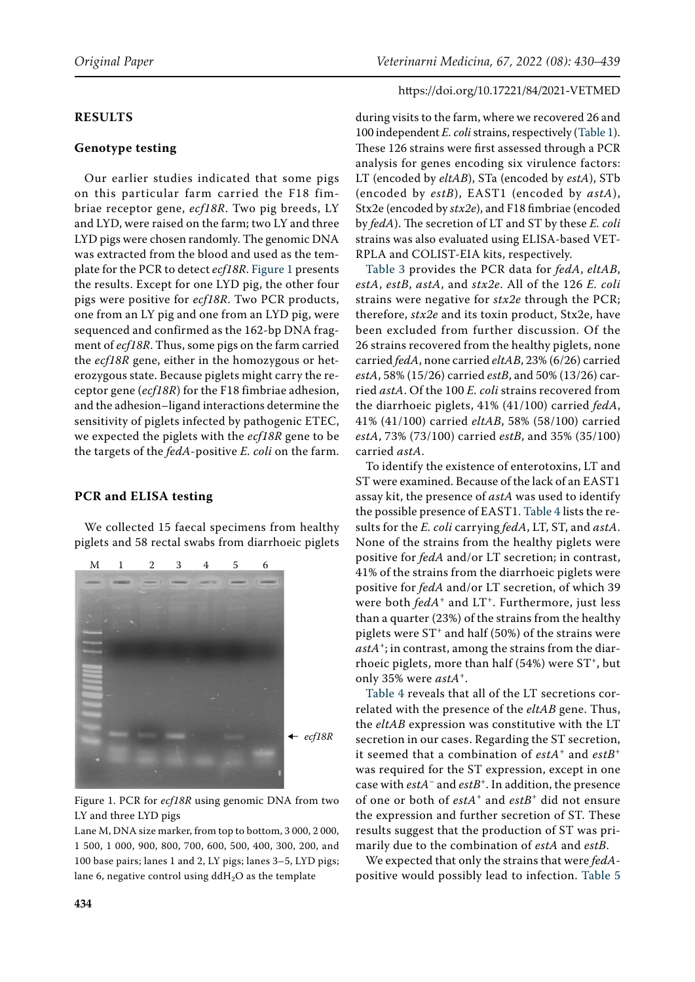#### **RESULTS**

## **Genotype testing**

Our earlier studies indicated that some pigs on this particular farm carried the F18 fimbriae receptor gene, *ecf18R*. Two pig breeds, LY and LYD, were raised on the farm; two LY and three LYD pigs were chosen randomly. The genomic DNA was extracted from the blood and used as the template for the PCR to detect *ecf18R*. [Figure 1](#page-4-0) presents the results. Except for one LYD pig, the other four pigs were positive for *ecf18R*. Two PCR products, one from an LY pig and one from an LYD pig, were sequenced and confirmed as the 162-bp DNA fragment of *ecf18R*. Thus, some pigs on the farm carried the *ecf18R* gene, either in the homozygous or heterozygous state. Because piglets might carry the receptor gene (*ecf18R*) for the F18 fimbriae adhesion, and the adhesion–ligand interactions determine the sensitivity of piglets infected by pathogenic ETEC, we expected the piglets with the *ecf18R* gene to be the targets of the *fedA*-positive *E. coli* on the farm.

#### **PCR and ELISA testing**

We collected 15 faecal specimens from healthy piglets and 58 rectal swabs from diarrhoeic piglets

<span id="page-4-0"></span>

Figure 1. PCR for *ecf18R* using genomic DNA from two LY and three LYD pigs

Lane M, DNA size marker, from top to bottom, 3 000, 2 000, 1 500, 1 000, 900, 800, 700, 600, 500, 400, 300, 200, and 100 base pairs; lanes 1 and 2, LY pigs; lanes 3–5, LYD pigs; lane 6, negative control using  $ddH<sub>2</sub>O$  as the template

#### https://doi.org/10.17221/84/2021-VETMED

during visits to the farm, where we recovered 26 and 100 independent *E. coli* strains, respectively ([Table 1\)](#page-2-0). These 126 strains were first assessed through a PCR analysis for genes encoding six virulence factors: LT (encoded by *eltAB*), STa (encoded by *estA*), STb (encoded by *estB*), EAST1 (encoded by *astA*), Stx2e (encoded by *stx2e*), and F18 fimbriae (encoded by *fedA*). The secretion of LT and ST by these *E. coli* strains was also evaluated using ELISA-based VET-RPLA and COLIST-EIA kits, respectively.

[Table 3](#page-5-0) provides the PCR data for *fedA*, *eltAB*, *estA*, *estB*, *astA*, and *stx2e*. All of the 126 *E. coli* strains were negative for *stx2e* through the PCR; therefore, *stx2e* and its toxin product, Stx2e, have been excluded from further discussion. Of the 26 strains recovered from the healthy piglets, none carried *fedA*, none carried *eltAB*, 23% (6/26) carried *estA*, 58% (15/26) carried *estB*, and 50% (13/26) carried *astA*. Of the 100 *E. coli* strains recovered from the diarrhoeic piglets, 41% (41/100) carried *fedA*, 41% (41/100) carried *eltAB*, 58% (58/100) carried *estA*, 73% (73/100) carried *estB*, and 35% (35/100) carried *astA*.

To identify the existence of enterotoxins, LT and ST were examined. Because of the lack of an EAST1 assay kit, the presence of *astA* was used to identify the possible presence of EAST1. [Table 4](#page-5-1) lists the results for the *E. coli* carrying *fedA*, LT, ST, and *astA*. None of the strains from the healthy piglets were positive for *fedA* and/or LT secretion; in contrast, 41% of the strains from the diarrhoeic piglets were positive for *fedA* and/or LT secretion, of which 39 were both *fedA*<sup>+</sup> and LT<sup>+</sup>. Furthermore, just less than a quarter (23%) of the strains from the healthy piglets were  $ST^+$  and half (50%) of the strains were *astA*+; in contrast, among the strains from the diarrhoeic piglets, more than half  $(54%)$  were  $ST^+$ , but only 35% were *astA*+.

[Table 4](#page-5-1) reveals that all of the LT secretions correlated with the presence of the *eltAB* gene. Thus, the *eltAB* expression was constitutive with the LT secretion in our cases. Regarding the ST secretion, it seemed that a combination of *estA*+ and *estB*<sup>+</sup> was required for the ST expression, except in one case with *estA*– and *estB*+. In addition, the presence of one or both of *estA*+ and *estB*+ did not ensure the expression and further secretion of ST. These results suggest that the production of ST was primarily due to the combination of *estA* and *estB*.

We expected that only the strains that were *fedA*positive would possibly lead to infection. [Table 5](#page-5-2)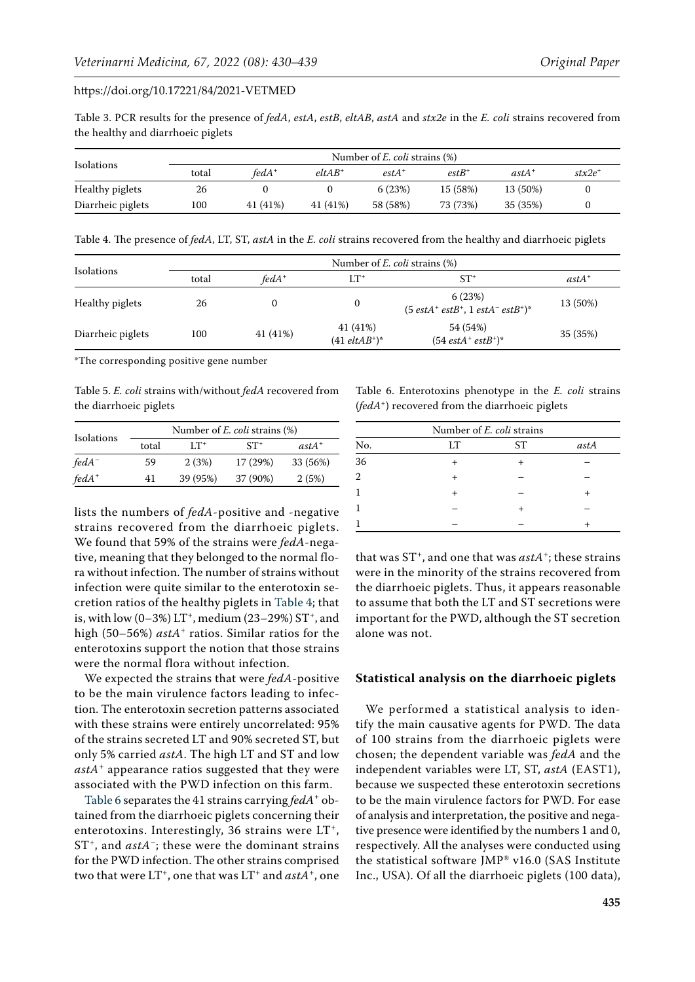<span id="page-5-0"></span>Table 3. PCR results for the presence of *fedA*, *estA*, *estB*, *eltAB*, *astA* and *stx2e* in the *E. coli* strains recovered from the healthy and diarrhoeic piglets

|                   | Number of $E$ , coli strains $(\%)$ |          |           |          |          |          |                    |
|-------------------|-------------------------------------|----------|-----------|----------|----------|----------|--------------------|
| Isolations        | total                               | $fedA^+$ | $eltAB^+$ | $estA^+$ | $estB^+$ | $astA^+$ | $\mathit{stx2e}^+$ |
| Healthy piglets   | 26                                  |          |           | 6(23%)   | 15 (58%) | 13 (50%) |                    |
| Diarrheic piglets | 100                                 | 41 (41%) | 41 (41%)  | 58 (58%) | 73 (73%) | 35 (35%) |                    |

<span id="page-5-1"></span>Table 4. The presence of *fedA*, LT, ST, *astA* in the *E. coli* strains recovered from the healthy and diarrhoeic piglets

|                   | Number of <i>E. coli</i> strains (%) |          |                                 |                                                                                  |          |  |
|-------------------|--------------------------------------|----------|---------------------------------|----------------------------------------------------------------------------------|----------|--|
| Isolations        | total                                | $fedA^+$ | LT+                             | $ST^*$                                                                           | $astA^+$ |  |
| Healthy piglets   | 26                                   |          | 0                               | 6(23%)<br>$(5 \text{ estA}^+ \text{ estB}^+, 1 \text{ estA}^- \text{ estB}^+)^*$ | 13 (50%) |  |
| Diarrheic piglets | 100                                  | 41 (41%) | 41 (41%)<br>$(41 \, eltAB^+)^*$ | 54 (54%)<br>$(54 \text{ estA}^+ \text{ estB}^+)^*$                               | 35 (35%) |  |

\*The corresponding positive gene number

<span id="page-5-2"></span>Table 5. *E. coli* strains with/without *fedA* recovered from the diarrhoeic piglets

|                   | Number of <i>E. coli</i> strains (%) |          |          |          |  |  |
|-------------------|--------------------------------------|----------|----------|----------|--|--|
| Isolations        | total                                | $LT^+$   | $ST^+$   | $astA^+$ |  |  |
| fedA <sup>-</sup> | 59                                   | 2(3%)    | 17 (29%) | 33 (56%) |  |  |
| $fedA^+$          | 41                                   | 39 (95%) | 37 (90%) | 2(5%)    |  |  |

lists the numbers of *fedA*-positive and -negative strains recovered from the diarrhoeic piglets. We found that 59% of the strains were *fedA*-negative, meaning that they belonged to the normal flora without infection. The number of strains without infection were quite similar to the enterotoxin secretion ratios of the healthy piglets in [Table 4;](#page-5-1) that is, with low  $(0-3\%)$  LT<sup>+</sup>, medium  $(23-29\%)$  ST<sup>+</sup>, and high (50–56%) *astA*+ ratios. Similar ratios for the enterotoxins support the notion that those strains were the normal flora without infection.

We expected the strains that were *fedA*-positive to be the main virulence factors leading to infection. The enterotoxin secretion patterns associated with these strains were entirely uncorrelated: 95% of the strains secreted LT and 90% secreted ST, but only 5% carried *astA*. The high LT and ST and low *astA*+ appearance ratios suggested that they were associated with the PWD infection on this farm.

[Table 6](#page-5-3) separates the 41 strains carrying *fedA*<sup>+</sup> obtained from the diarrhoeic piglets concerning their enterotoxins. Interestingly, 36 strains were  $LT^{+}$ , ST<sup>+</sup>, and *astA*<sup>-</sup>; these were the dominant strains for the PWD infection. The other strains comprised two that were LT<sup>+</sup>, one that was LT<sup>+</sup> and *astA*<sup>+</sup>, one <span id="page-5-3"></span>Table 6. Enterotoxins phenotype in the *E. coli* strains (*fedA*+) recovered from the diarrhoeic piglets

| Number of E. coli strains |                 |    |      |  |  |
|---------------------------|-----------------|----|------|--|--|
| No.                       | LΤ              | ST | astA |  |  |
| 36                        |                 |    |      |  |  |
| 2                         | $^{\mathrm{+}}$ |    |      |  |  |
|                           | ┿               |    |      |  |  |
|                           |                 |    |      |  |  |
|                           |                 |    |      |  |  |

that was  $ST^+$ , and one that was  $astA^+$ ; these strains were in the minority of the strains recovered from the diarrhoeic piglets. Thus, it appears reasonable to assume that both the LT and ST secretions were important for the PWD, although the ST secretion alone was not.

#### **Statistical analysis on the diarrhoeic piglets**

We performed a statistical analysis to identify the main causative agents for PWD. The data of 100 strains from the diarrhoeic piglets were chosen; the dependent variable was *fedA* and the independent variables were LT, ST, *astA* (EAST1), because we suspected these enterotoxin secretions to be the main virulence factors for PWD. For ease of analysis and interpretation, the positive and negative presence were identified by the numbers 1 and 0, respectively. All the analyses were conducted using the statistical software JMP® v16.0 (SAS Institute Inc., USA). Of all the diarrhoeic piglets (100 data),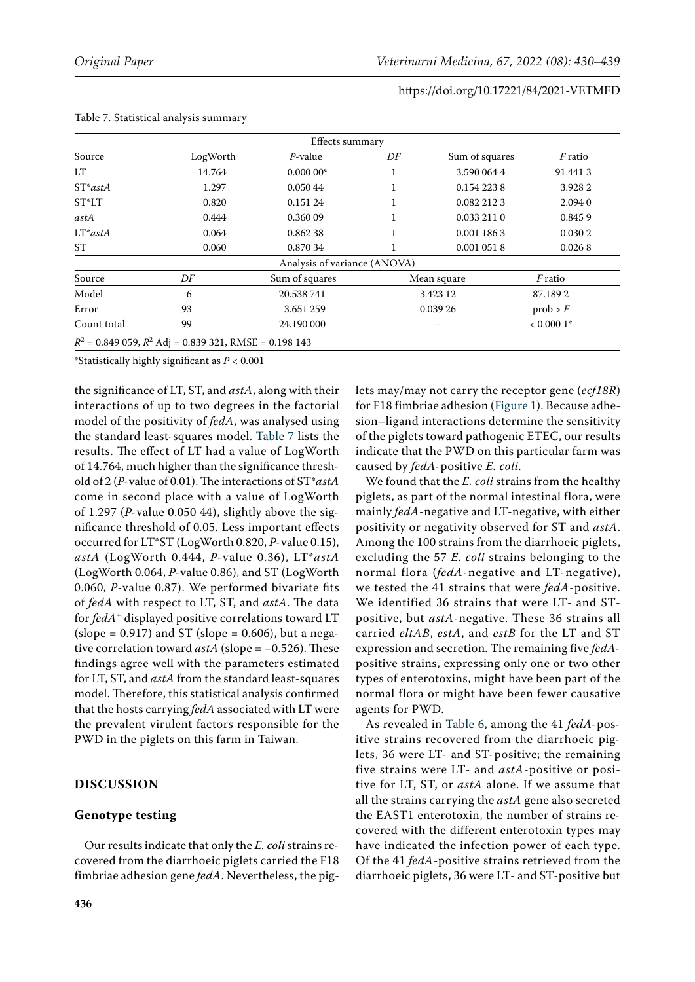| Effects summary |                                                            |                              |    |                |                |  |  |
|-----------------|------------------------------------------------------------|------------------------------|----|----------------|----------------|--|--|
| Source          | LogWorth                                                   | $P$ -value                   | DF | Sum of squares | <i>F</i> ratio |  |  |
| <b>LT</b>       | 14.764                                                     | $0.00000*$                   |    | 3.590 064 4    | 91.4413        |  |  |
| $ST*astA$       | 1.297                                                      | 0.050 44                     | 1  | 0.154 223 8    | 3.928 2        |  |  |
| ST*LT           | 0.820                                                      | 0.151 24                     |    | 0.082 212 3    | 2.094 0        |  |  |
| astA            | 0.444                                                      | 0.36009                      |    | 0.033 211 0    | 0.8459         |  |  |
| $LT^*astA$      | 0.064                                                      | 0.86238                      |    | 0.001 186 3    | 0.030 2        |  |  |
| ST              | 0.060                                                      | 0.870 34                     |    | 0.001 051 8    | 0.0268         |  |  |
|                 |                                                            | Analysis of variance (ANOVA) |    |                |                |  |  |
| Source          | DF                                                         | Sum of squares               |    | Mean square    | <i>F</i> ratio |  |  |
| Model           | 6                                                          | 20.538 741                   |    | 3.423 12       | 87.1892        |  |  |
| Error           | 93                                                         | 3.651 259                    |    | 0.039 26       | prob > F       |  |  |
| Count total     | 99                                                         | 24.190 000                   |    |                | $< 0.0001*$    |  |  |
|                 | $R^2$ = 0.849 059, $R^2$ Adj = 0.839 321, RMSE = 0.198 143 |                              |    |                |                |  |  |

#### <span id="page-6-0"></span> $TT<sub>1</sub>$  Table  $T<sub>2</sub>$  Statistical and  $T<sub>3</sub>$  summary summary summary

\*Statistically highly significant as *P* < 0.001

the significance of LT, ST, and *astA*, along with their interactions of up to two degrees in the factorial model of the positivity of *fedA*, was analysed using the standard least-squares model. [Table 7](#page-6-0) lists the results. The effect of LT had a value of LogWorth of 14.764, much higher than the significance threshold of 2 (*P*-value of 0.01). The interactions of ST\**astA* come in second place with a value of LogWorth of 1.297 (*P*-value 0.050 44), slightly above the significance threshold of 0.05. Less important effects occurred for LT\*ST (LogWorth 0.820, *P*-value 0.15), *astA* (LogWorth 0.444, *P*-value 0.36), LT\**astA* (LogWorth 0.064, *P*-value 0.86), and ST (LogWorth 0.060, *P*-value 0.87). We performed bivariate fits of *fedA* with respect to LT, ST, and *astA*. The data for *fedA*+ displayed positive correlations toward LT (slope =  $0.917$ ) and ST (slope =  $0.606$ ), but a negative correlation toward *astA* (slope = –0.526). These findings agree well with the parameters estimated for LT, ST, and *astA* from the standard least-squares model. Therefore, this statistical analysis confirmed that the hosts carrying *fedA* associated with LT were the prevalent virulent factors responsible for the PWD in the piglets on this farm in Taiwan.

# **DISCUSSION**

## **Genotype testing**

Our results indicate that only the *E. coli* strains recovered from the diarrhoeic piglets carried the F18 fimbriae adhesion gene *fedA*. Nevertheless, the piglets may/may not carry the receptor gene (*ecf18R*) for F18 fimbriae adhesion ([Figure 1\)](#page-4-0). Because adhesion–ligand interactions determine the sensitivity of the piglets toward pathogenic ETEC, our results indicate that the PWD on this particular farm was caused by *fedA*-positive *E. coli*.

We found that the *E. coli* strains from the healthy piglets, as part of the normal intestinal flora, were mainly *fedA*-negative and LT-negative, with either positivity or negativity observed for ST and *astA*. Among the 100 strains from the diarrhoeic piglets, excluding the 57 *E. coli* strains belonging to the normal flora (*fedA*-negative and LT-negative), we tested the 41 strains that were *fedA*-positive. We identified 36 strains that were LT- and STpositive, but *astA*-negative. These 36 strains all carried *eltAB*, *estA*, and *estB* for the LT and ST expression and secretion. The remaining five *fedA*positive strains, expressing only one or two other types of enterotoxins, might have been part of the normal flora or might have been fewer causative agents for PWD.

As revealed in [Table 6](#page-5-3), among the 41 *fedA*-positive strains recovered from the diarrhoeic piglets, 36 were LT- and ST-positive; the remaining five strains were LT- and *astA*-positive or positive for LT, ST, or *astA* alone. If we assume that all the strains carrying the *astA* gene also secreted the EAST1 enterotoxin, the number of strains recovered with the different enterotoxin types may have indicated the infection power of each type. Of the 41 *fedA*-positive strains retrieved from the diarrhoeic piglets, 36 were LT- and ST-positive but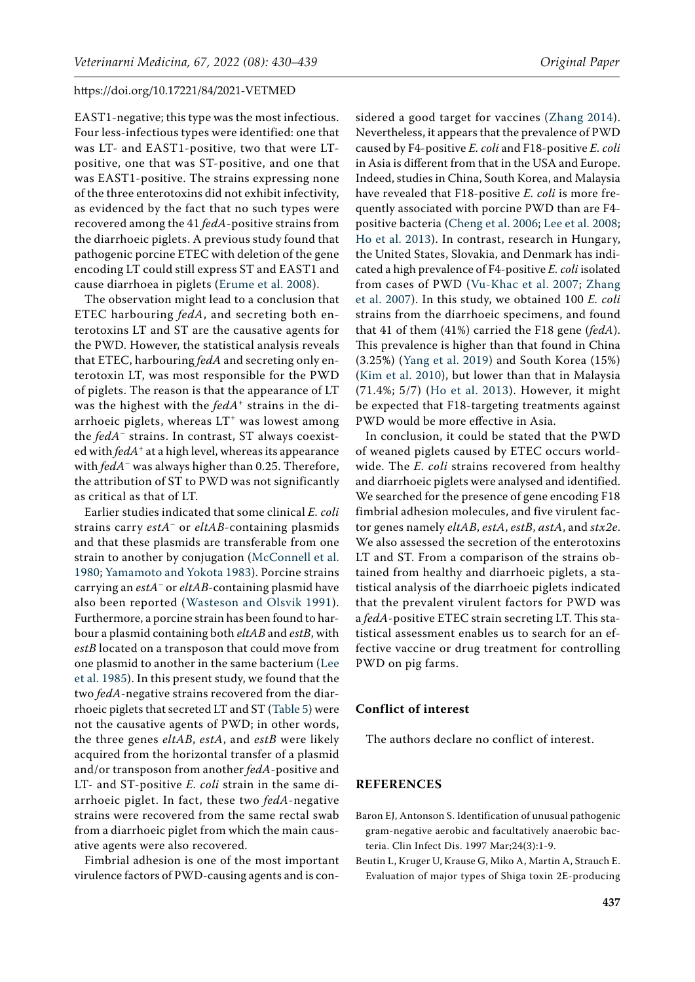EAST1-negative; this type was the most infectious. Four less-infectious types were identified: one that was LT- and EAST1-positive, two that were LTpositive, one that was ST-positive, and one that was EAST1-positive. The strains expressing none of the three enterotoxins did not exhibit infectivity, as evidenced by the fact that no such types were recovered among the 41 *fedA*-positive strains from the diarrhoeic piglets. A previous study found that pathogenic porcine ETEC with deletion of the gene encoding LT could still express ST and EAST1 and cause diarrhoea in piglets ([Erume et al. 2008\)](#page-8-18).

The observation might lead to a conclusion that ETEC harbouring *fedA*, and secreting both enterotoxins LT and ST are the causative agents for the PWD. However, the statistical analysis reveals that ETEC, harbouring *fedA* and secreting only enterotoxin LT, was most responsible for the PWD of piglets. The reason is that the appearance of LT was the highest with the *fedA*<sup>+</sup> strains in the diarrhoeic piglets, whereas  $LT^{+}$  was lowest among the *fedA*– strains. In contrast, ST always coexisted with *fedA*+ at a high level, whereas its appearance with *fedA*– was always higher than 0.25. Therefore, the attribution of ST to PWD was not significantly as critical as that of LT.

Earlier studies indicated that some clinical *E. coli* strains carry *estA*– or *eltAB*-containing plasmids and that these plasmids are transferable from one strain to another by conjugation ([McConnell et al.](#page-8-19)  [1980;](#page-8-19) [Yamamoto and Yokota 1983](#page-9-5)). Porcine strains carrying an *estA*– or *eltAB*-containing plasmid have also been reported ([Wasteson and Olsvik 1991](#page-9-6)). Furthermore, a porcine strain has been found to harbour a plasmid containing both *eltAB* and *estB*, with *estB* located on a transposon that could move from one plasmid to another in the same bacterium ([Lee](#page-8-20)  [et al. 1985\)](#page-8-20). In this present study, we found that the two *fedA*-negative strains recovered from the diarrhoeic piglets that secreted LT and ST ([Table 5](#page-5-2)) were not the causative agents of PWD; in other words, the three genes *eltAB*, *estA*, and *estB* were likely acquired from the horizontal transfer of a plasmid and/or transposon from another *fedA*-positive and LT- and ST-positive *E. coli* strain in the same diarrhoeic piglet. In fact, these two *fedA*-negative strains were recovered from the same rectal swab from a diarrhoeic piglet from which the main causative agents were also recovered.

Fimbrial adhesion is one of the most important virulence factors of PWD-causing agents and is con-

sidered a good target for vaccines ([Zhang 2014](#page-9-0)). Nevertheless, it appears that the prevalence of PWD caused by F4-positive *E. coli* and F18-positive *E. coli* in Asia is different from that in the USA and Europe. Indeed, studies in China, South Korea, and Malaysia have revealed that F18-positive *E. coli* is more frequently associated with porcine PWD than are F4 positive bacteria [\(Cheng et al. 2006](#page-8-21); [Lee et al. 2008](#page-8-22); [Ho et al. 2013](#page-8-23)). In contrast, research in Hungary, the United States, Slovakia, and Denmark has indicated a high prevalence of F4-positive *E. coli* isolated from cases of PWD ([Vu-Khac et al. 2007](#page-9-1); [Zhang](#page-9-2) [et al. 2007](#page-9-2)). In this study, we obtained 100 *E. coli* strains from the diarrhoeic specimens, and found that 41 of them (41%) carried the F18 gene (*fedA*). This prevalence is higher than that found in China (3.25%) ([Yang et al. 2019\)](#page-9-7) and South Korea (15%) [\(Kim et al. 2010](#page-8-5)), but lower than that in Malaysia (71.4%; 5/7) ([Ho et al. 2013\)](#page-8-23). However, it might be expected that F18-targeting treatments against PWD would be more effective in Asia.

In conclusion, it could be stated that the PWD of weaned piglets caused by ETEC occurs worldwide. The *E. coli* strains recovered from healthy and diarrhoeic piglets were analysed and identified. We searched for the presence of gene encoding F18 fimbrial adhesion molecules, and five virulent factor genes namely *eltAB*, *estA*, *estB*, *astA*, and *stx2e*. We also assessed the secretion of the enterotoxins LT and ST. From a comparison of the strains obtained from healthy and diarrhoeic piglets, a statistical analysis of the diarrhoeic piglets indicated that the prevalent virulent factors for PWD was a *fedA*-positive ETEC strain secreting LT. This statistical assessment enables us to search for an effective vaccine or drug treatment for controlling PWD on pig farms.

## **Conflict of interest**

The authors declare no conflict of interest.

### **REFERENCES**

- <span id="page-7-0"></span>Baron EJ, Antonson S. Identification of unusual pathogenic gram-negative aerobic and facultatively anaerobic bacteria. Clin Infect Dis. 1997 Mar;24(3):1-9.
- <span id="page-7-1"></span>Beutin L, Kruger U, Krause G, Miko A, Martin A, Strauch E. Evaluation of major types of Shiga toxin 2E-producing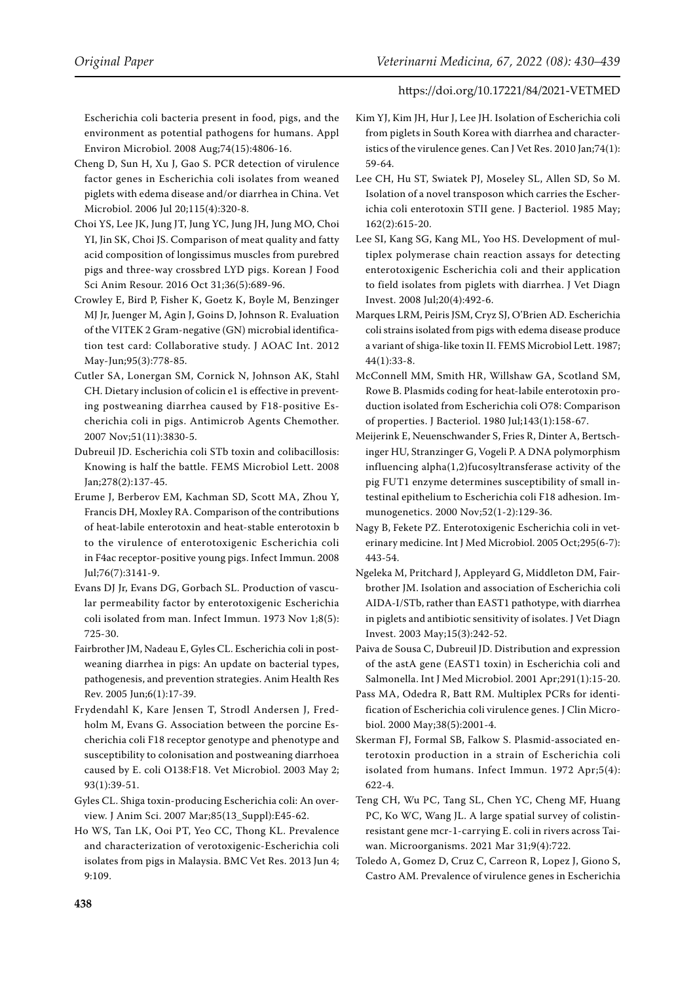Escherichia coli bacteria present in food, pigs, and the environment as potential pathogens for humans. Appl Environ Microbiol. 2008 Aug;74(15):4806-16.

- <span id="page-8-21"></span>Cheng D, Sun H, Xu J, Gao S. PCR detection of virulence factor genes in Escherichia coli isolates from weaned piglets with edema disease and/or diarrhea in China. Vet Microbiol. 2006 Jul 20;115(4):320-8.
- <span id="page-8-12"></span>Choi YS, Lee JK, Jung JT, Jung YC, Jung JH, Jung MO, Choi YI, Jin SK, Choi JS. Comparison of meat quality and fatty acid composition of longissimus muscles from purebred pigs and three-way crossbred LYD pigs. Korean J Food Sci Anim Resour. 2016 Oct 31;36(5):689-96.
- <span id="page-8-13"></span>Crowley E, Bird P, Fisher K, Goetz K, Boyle M, Benzinger MJ Jr, Juenger M, Agin J, Goins D, Johnson R. Evaluation of the VITEK 2 Gram-negative (GN) microbial identification test card: Collaborative study. J AOAC Int. 2012 May-Jun;95(3):778-85.
- <span id="page-8-0"></span>Cutler SA, Lonergan SM, Cornick N, Johnson AK, Stahl CH. Dietary inclusion of colicin e1 is effective in preventing postweaning diarrhea caused by F18-positive Escherichia coli in pigs. Antimicrob Agents Chemother. 2007 Nov;51(11):3830-5.
- <span id="page-8-7"></span>Dubreuil JD. Escherichia coli STb toxin and colibacillosis: Knowing is half the battle. FEMS Microbiol Lett. 2008 Jan;278(2):137-45.
- <span id="page-8-18"></span>Erume J, Berberov EM, Kachman SD, Scott MA, Zhou Y, Francis DH, Moxley RA. Comparison of the contributions of heat-labile enterotoxin and heat-stable enterotoxin b to the virulence of enterotoxigenic Escherichia coli in F4ac receptor-positive young pigs. Infect Immun. 2008 Jul;76(7):3141-9.
- <span id="page-8-16"></span>Evans DJ Jr, Evans DG, Gorbach SL. Production of vascular permeability factor by enterotoxigenic Escherichia coli isolated from man. Infect Immun. 1973 Nov 1;8(5): 725-30.
- <span id="page-8-2"></span>Fairbrother JM, Nadeau E, Gyles CL. Escherichia coli in postweaning diarrhea in pigs: An update on bacterial types, pathogenesis, and prevention strategies. Anim Health Res Rev. 2005 Jun;6(1):17-39.
- <span id="page-8-17"></span>Frydendahl K, Kare Jensen T, Strodl Andersen J, Fredholm M, Evans G. Association between the porcine Escherichia coli F18 receptor genotype and phenotype and susceptibility to colonisation and postweaning diarrhoea caused by E. coli O138:F18. Vet Microbiol. 2003 May 2; 93(1):39-51.
- <span id="page-8-9"></span>Gyles CL. Shiga toxin-producing Escherichia coli: An overview. J Anim Sci. 2007 Mar;85(13\_Suppl):E45-62.
- <span id="page-8-23"></span>Ho WS, Tan LK, Ooi PT, Yeo CC, Thong KL. Prevalence and characterization of verotoxigenic-Escherichia coli isolates from pigs in Malaysia. BMC Vet Res. 2013 Jun 4; 9:109.
- <span id="page-8-5"></span>Kim YJ, Kim JH, Hur J, Lee JH. Isolation of Escherichia coli from piglets in South Korea with diarrhea and characteristics of the virulence genes. Can J Vet Res. 2010 Jan;74(1): 59-64.
- <span id="page-8-20"></span>Lee CH, Hu ST, Swiatek PJ, Moseley SL, Allen SD, So M. Isolation of a novel transposon which carries the Escherichia coli enterotoxin STII gene. J Bacteriol. 1985 May; 162(2):615-20.
- <span id="page-8-22"></span>Lee SI, Kang SG, Kang ML, Yoo HS. Development of multiplex polymerase chain reaction assays for detecting enterotoxigenic Escherichia coli and their application to field isolates from piglets with diarrhea. J Vet Diagn Invest. 2008 Jul;20(4):492-6.
- <span id="page-8-8"></span>Marques LRM, Peiris JSM, Cryz SJ, O'Brien AD. Escherichia coli strains isolated from pigs with edema disease produce a variant of shiga-like toxin II. FEMS Microbiol Lett. 1987; 44(1):33-8.
- <span id="page-8-19"></span>McConnell MM, Smith HR, Willshaw GA, Scotland SM, Rowe B. Plasmids coding for heat-labile enterotoxin production isolated from Escherichia coli O78: Comparison of properties. J Bacteriol. 1980 Jul;143(1):158-67.
- <span id="page-8-4"></span>Meijerink E, Neuenschwander S, Fries R, Dinter A, Bertschinger HU, Stranzinger G, Vogeli P. A DNA polymorphism influencing alpha(1,2)fucosyltransferase activity of the pig FUT1 enzyme determines susceptibility of small intestinal epithelium to Escherichia coli F18 adhesion. Immunogenetics. 2000 Nov;52(1-2):129-36.
- <span id="page-8-3"></span>Nagy B, Fekete PZ. Enterotoxigenic Escherichia coli in veterinary medicine. Int J Med Microbiol. 2005 Oct;295(6-7): 443-54.
- <span id="page-8-11"></span>Ngeleka M, Pritchard J, Appleyard G, Middleton DM, Fairbrother JM. Isolation and association of Escherichia coli AIDA-I/STb, rather than EAST1 pathotype, with diarrhea in piglets and antibiotic sensitivity of isolates. J Vet Diagn Invest. 2003 May;15(3):242-52.
- <span id="page-8-10"></span>Paiva de Sousa C, Dubreuil JD. Distribution and expression of the astA gene (EAST1 toxin) in Escherichia coli and Salmonella. Int J Med Microbiol. 2001 Apr;291(1):15-20.
- <span id="page-8-14"></span>Pass MA, Odedra R, Batt RM. Multiplex PCRs for identification of Escherichia coli virulence genes. J Clin Microbiol. 2000 May;38(5):2001-4.
- <span id="page-8-15"></span>Skerman FJ, Formal SB, Falkow S. Plasmid-associated enterotoxin production in a strain of Escherichia coli isolated from humans. Infect Immun. 1972 Apr;5(4): 622-4.
- <span id="page-8-1"></span>Teng CH, Wu PC, Tang SL, Chen YC, Cheng MF, Huang PC, Ko WC, Wang JL. A large spatial survey of colistinresistant gene mcr-1-carrying E. coli in rivers across Taiwan. Microorganisms. 2021 Mar 31;9(4):722.
- <span id="page-8-6"></span>Toledo A, Gomez D, Cruz C, Carreon R, Lopez J, Giono S, Castro AM. Prevalence of virulence genes in Escherichia